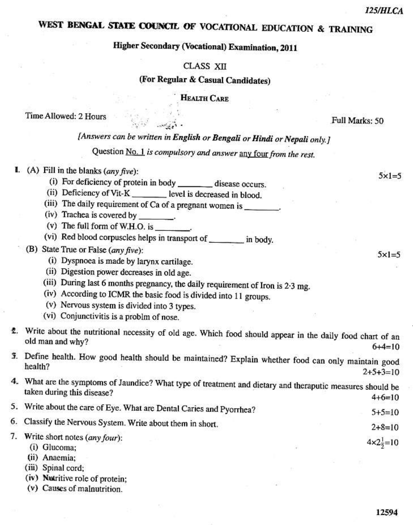$5x1=5$ 

 $5 \times 1 = 5$ 

# WEST BENGAL STATE COUNCIL OF VOCATIONAL EDUCATION & TRAINING

## **Higher Secondary (Vocational) Examination, 2011**

#### **CLASS XII**

(For Regular & Casual Candidates)

**HEALTH CARE** 

Time Allowed: 2 Hours

Full Marks: 50

# [Answers can be written in English or Bengali or Hindi or Nepali only.]

Question No. 1 is compulsory and answer any four from the rest.

### I. (A) Fill in the blanks  $(\text{any five})$ :

- (i) For deficiency of protein in body \_\_\_\_\_\_\_\_\_ disease occurs.
- (ii) Deficiency of Vit-K \_\_\_\_\_\_\_\_ level is decreased in blood.
- (iii) The daily requirement of Ca of a pregnant women is \_\_\_\_\_\_\_\_.
- (iv) Trachea is covered by \_
- (v) The full form of W.H.O. is \_\_\_\_\_\_\_\_
- (vi) Red blood corpuscles helps in transport of \_\_\_\_\_\_\_\_\_ in body.
- (B) State True or False (any five):
	- (i) Dyspnoea is made by larynx cartilage.
	- (ii) Digestion power decreases in old age.
	- (iii) During last 6 months pregnancy, the daily requirement of Iron is 2.3 mg.
	- (iv) According to ICMR the basic food is divided into 11 groups.
	- (v) Nervous system is divided into 3 types.
	- (vi) Conjunctivitis is a problm of nose.
- 2. Write about the nutritional necessity of old age. Which food should appear in the daily food chart of an old man and why?  $6+4=10$
- 3. Define health. How good health should be maintained? Explain whether food can only maintain good health?  $2+5+3=10$
- 4. What are the symptoms of Jaundice? What type of treatment and dietary and theraputic measures should be taken during this disease?  $4+6=10$
- 5. Write about the care of Eye. What are Dental Caries and Pyorrhea?  $5+5=10$
- 6. Classify the Nervous System. Write about them in short.  $2+8=10$
- 7. Write short notes (any four):  $4 \times 2\frac{1}{2} = 10$ 
	- (i) Glucoma;
	- (ii) Anaemia;
	- (iii) Spinal cord;
	- (iv) Nutritive role of protein;
	- (v) Causes of malnutrition.